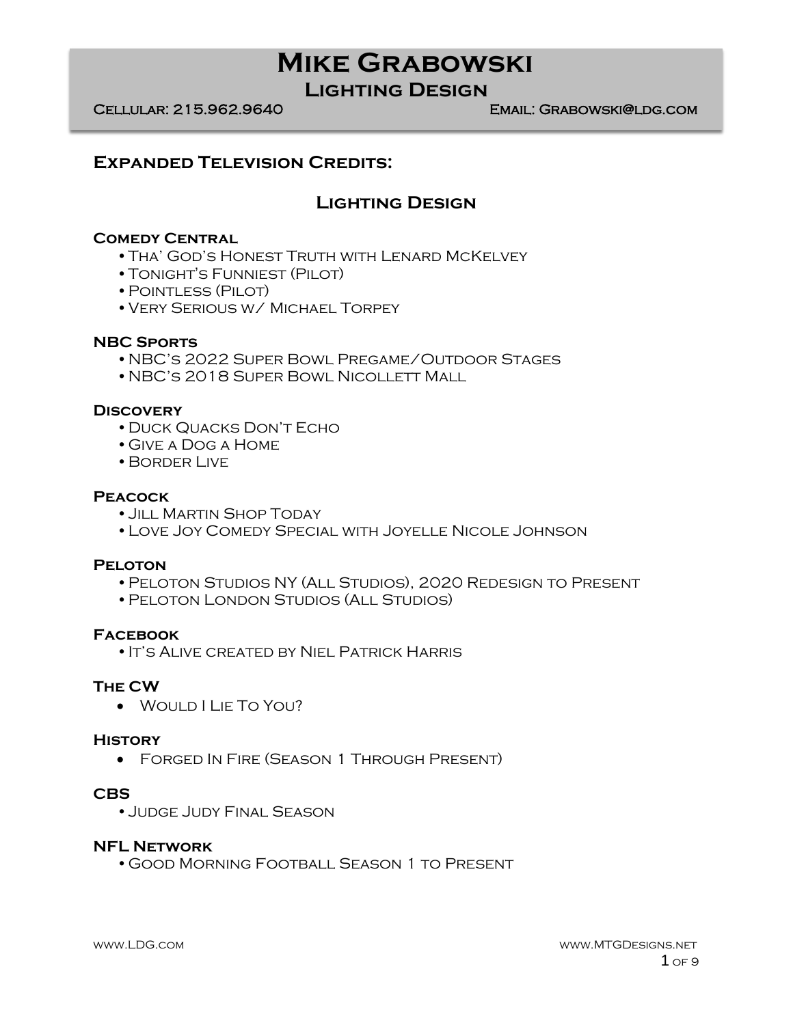**Lighting Design**

Cellular: 215.962.9640 Email: Grabowski@ldg.com

### **Expanded Television Credits:**

### **Lighting Design**

### **Comedy Central**

- •Tha' God's Honest Truth with Lenard McKelvey
- •Tonight's Funniest (Pilot)
- •Pointless (Pilot)
- •Very Serious w/ Michael Torpey

#### **NBC Sports**

- •NBC's 2022 Super Bowl Pregame/Outdoor Stages
- •NBC's 2018 Super Bowl Nicollett Mall

#### **Discovery**

- •Duck Quacks Don't Echo
- •Give a Dog a Home
- •Border Live

#### **Peacock**

- •Jill Martin Shop Today
- •Love Joy Comedy Special with Joyelle Nicole Johnson

### **Peloton**

- •Peloton Studios NY (All Studios), 2020 Redesign to Present
- •Peloton London Studios (All Studios)

### **Facebook**

•It's Alive created by Niel Patrick Harris

#### **The CW**

• Would I Lie To You?

#### **History**

• Forged In Fire (Season 1 Through Present)

#### **CBS**

•Judge Judy Final Season

### **NFL Network**

•Good Morning Football Season 1 to Present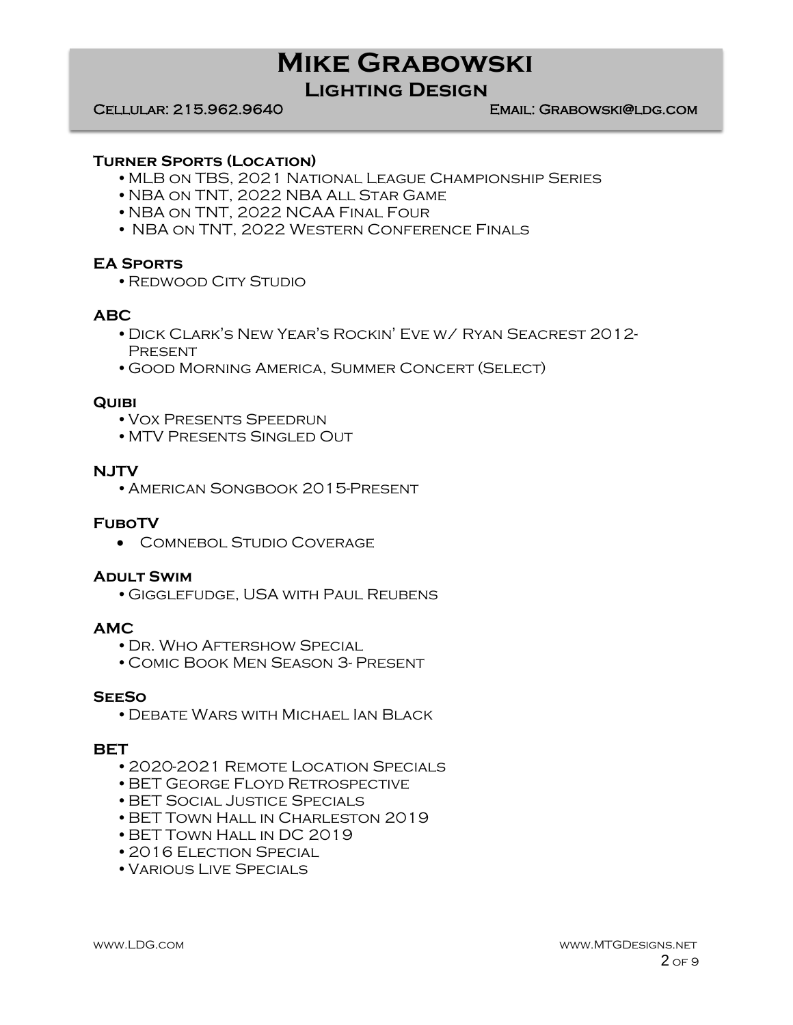## **Lighting Design**

#### Cellular: 215.962.9640 Email: Grabowski@ldg.com

#### **Turner Sports (Location)**

- •MLB on TBS, 2021 National League Championship Series
- •NBA on TNT, 2022 NBA All Star Game
- •NBA on TNT, 2022 NCAA Final Four
- NBA on TNT, 2022 Western Conference Finals

#### **EA Sports**

•Redwood City Studio

### **ABC**

- •Dick Clark's New Year's Rockin' Eve w/ Ryan Seacrest 2012- **PRESENT**
- •Good Morning America, Summer Concert (Select)

#### **Quibi**

- •Vox Presents Speedrun
- •MTV Presents Singled Out

#### **NJTV**

•American Songbook 2015-Present

#### **FuboTV**

• Comnebol Studio Coverage

#### **Adult Swim**

•Gigglefudge, USA with Paul Reubens

#### **AMC**

- •Dr. Who Aftershow Special
- •Comic Book Men Season 3- Present

#### **SeeSo**

•Debate Wars with Michael Ian Black

#### **BET**

- •2020-2021 Remote Location Specials
- •BET George Floyd Retrospective
- •BET Social Justice Specials
- •BET Town Hall in Charleston 2019
- •BET Town Hall in DC 2019
- 2016 ELECTION SPECIAL
- •Various Live Specials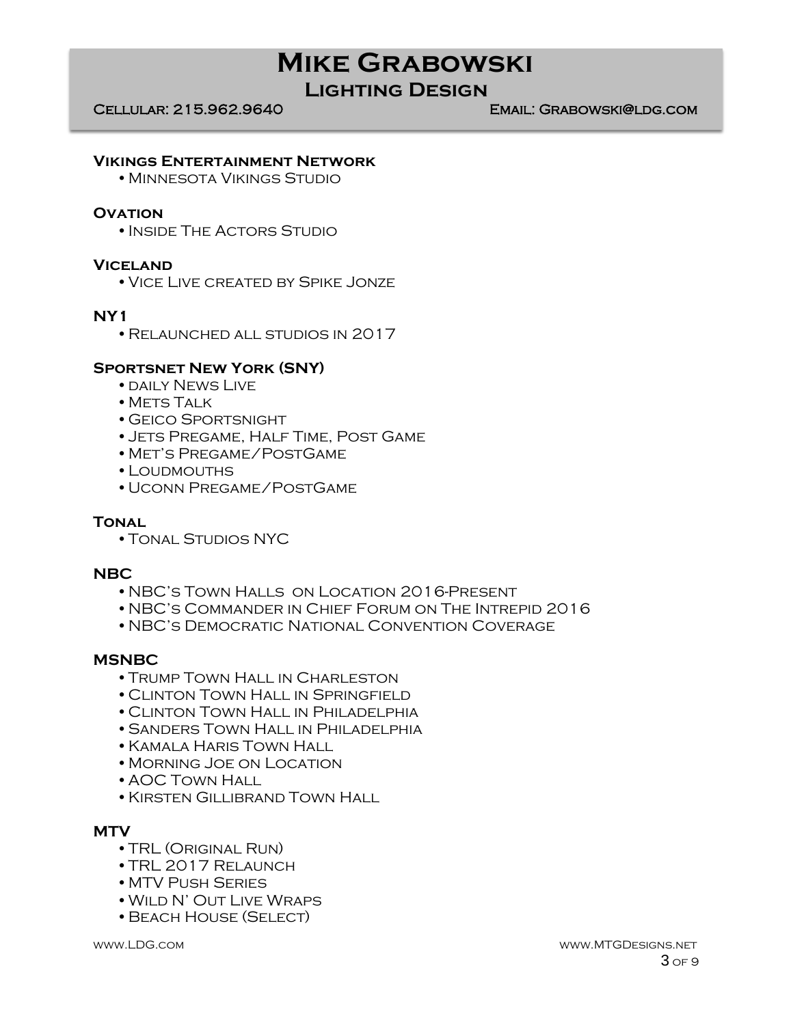## **Lighting Design**

Cellular: 215.962.9640 Email: Grabowski@ldg.com

#### **Vikings Entertainment Network**

•Minnesota Vikings Studio

#### **OVATION**

• INSIDE THE ACTORS STUDIO

#### **Viceland**

•Vice Live created by Spike Jonze

#### **NY1**

•Relaunched all studios in 2017

#### **Sportsnet New York (SNY)**

- DAILY NEWS LIVE
- METS TALK
- •Geico Sportsnight
- •Jets Pregame, Half Time, Post Game
- •Met's Pregame/PostGame
- •Loudmouths
- •Uconn Pregame/PostGame

### **Tonal**

•Tonal Studios NYC

#### **NBC**

- •NBC's Town Halls on Location 2016-Present
- •NBC's Commander in Chief Forum on The Intrepid 2016
- •NBC's Democratic National Convention Coverage

#### **MSNBC**

- •Trump Town Hall in Charleston
- •Clinton Town Hall in Springfield
- •Clinton Town Hall in Philadelphia
- •Sanders Town Hall in Philadelphia
- •Kamala Haris Town Hall
- •Morning Joe on Location
- •AOC Town Hall
- •Kirsten Gillibrand Town Hall

### **MTV**

- •TRL (Original Run)
- •TRL 2017 Relaunch
- •MTV Push Series
- •Wild N' Out Live Wraps
- •Beach House (Select)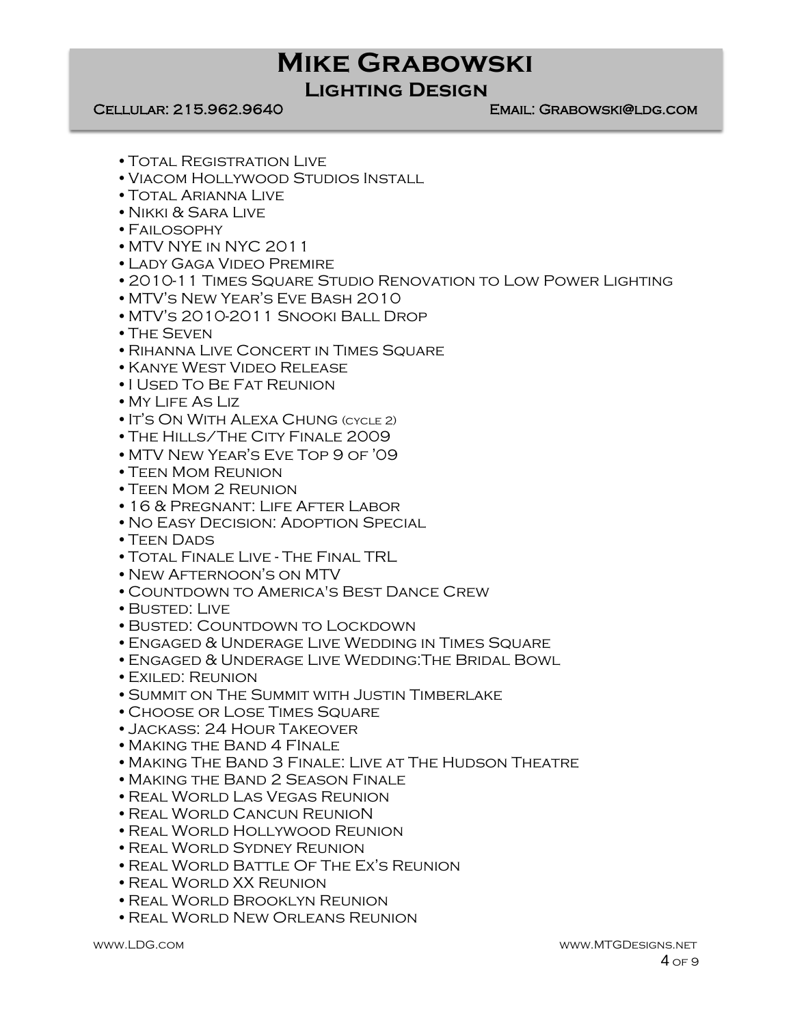## **Lighting Design**

Cellular: 215.962.9640 Email: Grabowski@ldg.com

- •Total Registration Live
- •Viacom Hollywood Studios Install
- •Total Arianna Live
- •Nikki & Sara Live
- •Failosophy
- •MTV NYE in NYC 2011
- •Lady Gaga Video Premire
- •2010-11 Times Square Studio Renovation to Low Power Lighting
- •MTV's New Year's Eve Bash 2010
- •MTV's 2010-2011 Snooki Ball Drop
- •The Seven
- •Rihanna Live Concert in Times Square
- •Kanye West Video Release
- •I Used To Be Fat Reunion
- •My Life As Liz
- •It's On With Alexa Chung (cycle 2)
- •The Hills/The City Finale 2009
- •MTV New Year's Eve Top 9 of '09
- •Teen Mom Reunion
- TEEN MOM 2 REUNION
- •16 & Pregnant: Life After Labor
- •No Easy Decision: Adoption Special
- TEEN DADS
- •Total Finale Live The Final TRL
- •New Afternoon's on MTV
- •Countdown to America's Best Dance Crew
- •Busted: Live
- •Busted: Countdown to Lockdown
- ENGAGED & UNDERAGE LIVE WEDDING IN TIMES SQUARE
- •Engaged & Underage Live Wedding:The Bridal Bowl
- •Exiled: Reunion
- •Summit on The Summit with Justin Timberlake
- •Choose or Lose Times Square
- •Jackass: 24 Hour Takeover
- •Making the Band 4 FInale
- •Making The Band 3 Finale: Live at The Hudson Theatre
- •Making the Band 2 Season Finale
- •Real World Las Vegas Reunion
- •Real World Cancun ReunioN
- •Real World Hollywood Reunion
- •Real World Sydney Reunion
- •Real World Battle Of The Ex's Reunion
- •Real World XX Reunion
- •Real World Brooklyn Reunion
- •Real World New Orleans Reunion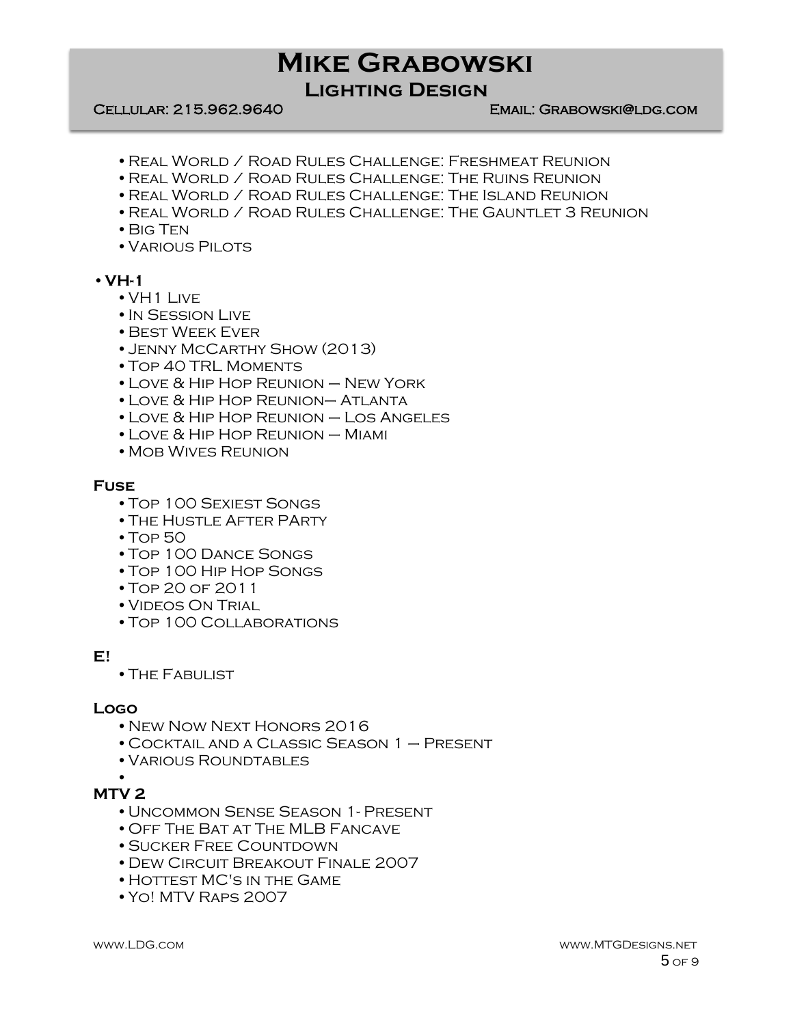**Lighting Design**

#### Cellular: 215.962.9640 Email: Grabowski@ldg.com

- •Real World / Road Rules Challenge: Freshmeat Reunion
- •Real World / Road Rules Challenge: The Ruins Reunion
- •Real World / Road Rules Challenge: The Island Reunion
- •Real World / Road Rules Challenge: The Gauntlet 3 Reunion
- •Big Ten
- VARIOUS PILOTS

#### •**VH-1**

- •VH1 Live
- •In Session Live
- •Best Week Ever
- •Jenny McCarthy Show (2013)
- •Top 40 TRL Moments
- •Love & Hip Hop Reunion New York
- •Love & Hip Hop Reunion– Atlanta
- •Love & Hip Hop Reunion Los Angeles
- •Love & Hip Hop Reunion Miami
- MOB WIVES REUNION

#### **Fuse**

- •Top 100 Sexiest Songs
- •The Hustle After PArty
- •Top 50
- •Top 100 Dance Songs
- •Top 100 Hip Hop Songs
- •Top 20 of 2011
- •Videos On Trial
- •Top 100 Collaborations

### **E!**

•The Fabulist

#### **Logo**

- •New Now Next Honors 2016
- •Cocktail and a Classic Season 1 Present
- •Various Roundtables

#### • **MTV 2**

- 
- •Uncommon Sense Season 1- Present
- •Off The Bat at The MLB Fancave
- •Sucker Free Countdown
- •Dew Circuit Breakout Finale 2007
- HOTTEST MC'S IN THE GAME
- •Yo! MTV Raps 2007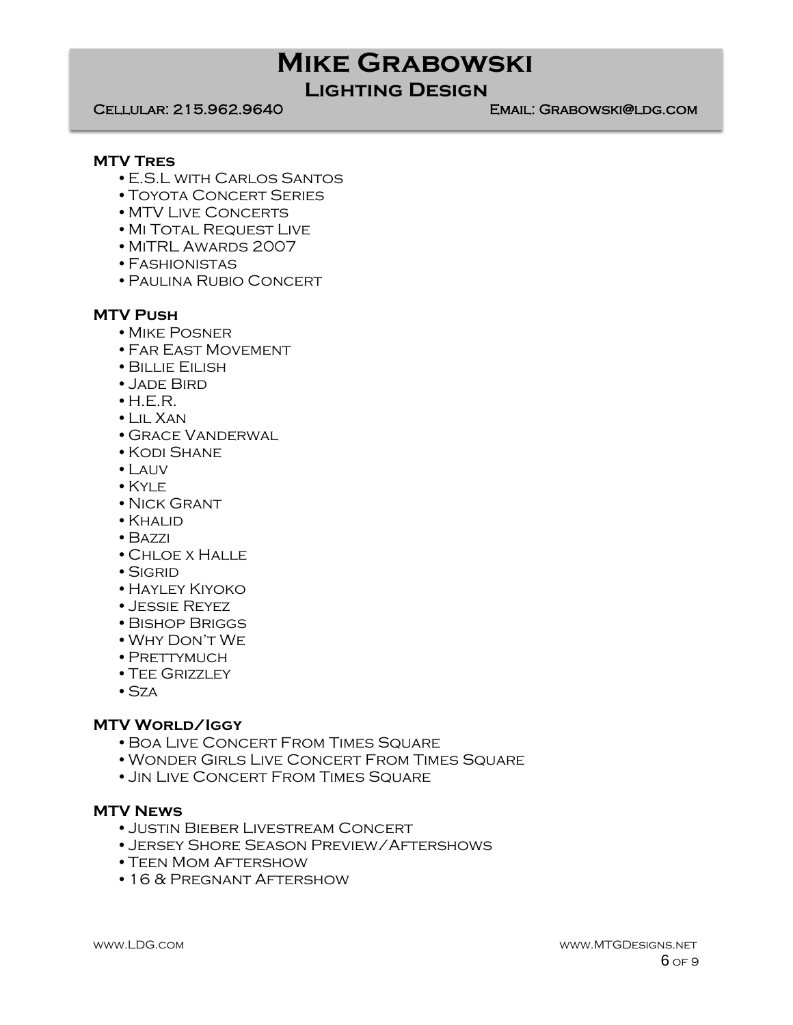# **Lighting Design**

Cellular: 215.962.9640 Email: Grabowski@ldg.com

#### **MTV Tres**

- •E.S.L with Carlos Santos
- •Toyota Concert Series
- MTV LIVE CONCERTS
- MI TOTAL REQUEST LIVE
- •MiTRL Awards 2007
- •Fashionistas
- •Paulina Rubio Concert

### **MTV Push**

- •Mike Posner
- •Far East Movement
- •Billie Eilish
- •Jade Bird
- $\bullet$  H.E.R.
- •Lil Xan
- •Grace Vanderwal
- •Kodi Shane
- •Lauv
- •Kyle
- NICK GRANT
- •Khalid
- •Bazzi
- •Chloe x Halle
- •Sigrid
- •Hayley Kiyoko
- •Jessie Reyez
- •Bishop Briggs
- •Why Don't We
- PRETTYMUCH
- TEE GRIZZLEY
- $•$  Sza

### **MTV World/Iggy**

- •Boa Live Concert From Times Square
- •Wonder Girls Live Concert From Times Square
- •Jin Live Concert From Times Square

### **MTV News**

- •Justin Bieber Livestream Concert
- •Jersey Shore Season Preview/Aftershows
- •Teen Mom Aftershow
- •16 & Pregnant Aftershow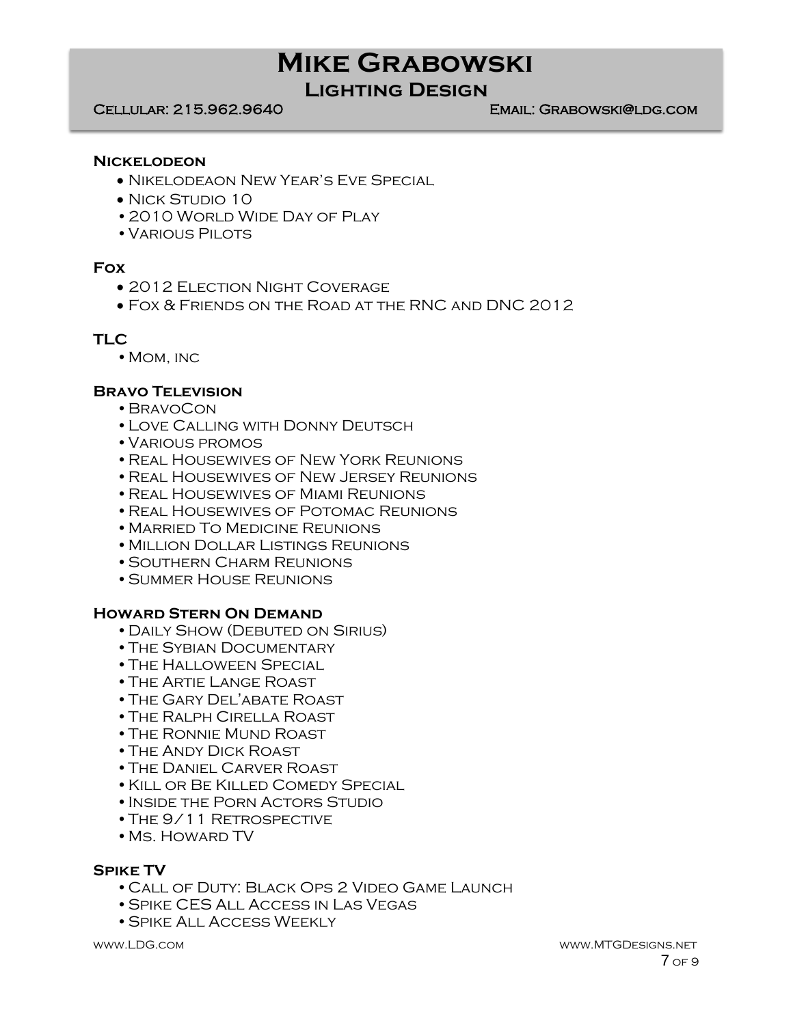## **Lighting Design**

Cellular: 215.962.9640 Email: Grabowski@ldg.com

#### **Nickelodeon**

- Nikelodeaon New Year's Eve Special
- NICK STUDIO 10
- 2010 WORLD WIDE DAY OF PLAY
- VARIOUS PILOTS

### **Fox**

- 2012 ELECTION NIGHT COVERAGE
- Fox & Friends on the Road at the RNC and DNC 2012

### **TLC**

• MOM, INC

### **Bravo Television**

- •BravoCon
- •Love Calling with Donny Deutsch
- •Various promos
- •Real Housewives of New York Reunions
- •Real Housewives of New Jersey Reunions
- •Real Housewives of Miami Reunions
- •Real Housewives of Potomac Reunions
- •Married To Medicine Reunions
- •Million Dollar Listings Reunions
- •Southern Charm Reunions
- •Summer House Reunions

### **Howard Stern On Demand**

- •Daily Show (Debuted on Sirius)
- •The Sybian Documentary
- •The Halloween Special
- •The Artie Lange Roast
- •The Gary Del'abate Roast
- •The Ralph Cirella Roast
- •The Ronnie Mund Roast
- •The Andy Dick Roast
- •The Daniel Carver Roast
- •Kill or Be Killed Comedy Special
- INSIDE THE PORN ACTORS STUDIO
- THE 9/11 RETROSPECTIVE
- •Ms. Howard TV

### **Spike TV**

- •Call of Duty: Black Ops 2 Video Game Launch
- •Spike CES All Access in Las Vegas
- •Spike All Access Weekly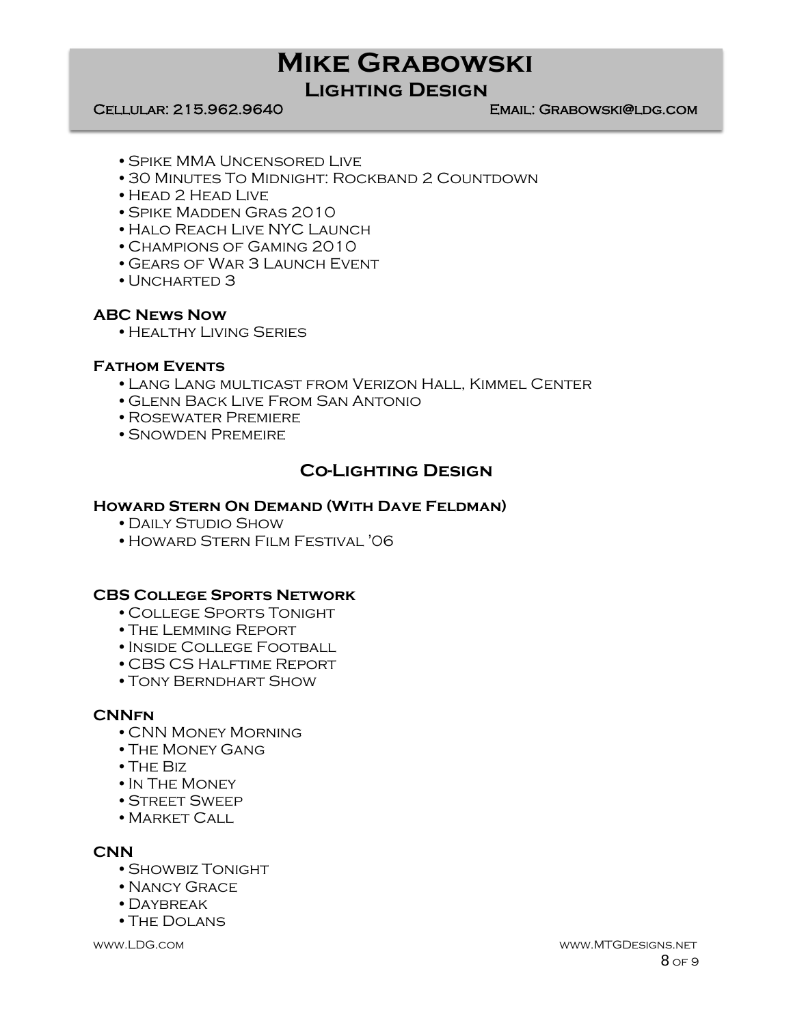## **Lighting Design**

#### Cellular: 215.962.9640 Email: Grabowski@ldg.com

- •Spike MMA Uncensored Live
- •30 Minutes To Midnight: Rockband 2 Countdown
- •Head 2 Head Live
- •Spike Madden Gras 2010
- •Halo Reach Live NYC Launch
- •Champions of Gaming 2010
- •Gears of War 3 Launch Event
- UNCHARTED 3

### **ABC News Now**

•Healthy Living Series

### **Fathom Events**

- •Lang Lang multicast from Verizon Hall, Kimmel Center
- •Glenn Back Live From San Antonio
- •Rosewater Premiere
- •Snowden Premeire

### **Co-Lighting Design**

#### **Howard Stern On Demand (With Dave Feldman)**

- •Daily Studio Show
- •Howard Stern Film Festival '06

#### **CBS College Sports Network**

- •College Sports Tonight
- •The Lemming Report
- •Inside College Football
- •CBS CS Halftime Report
- •Tony Berndhart Show

### **CNNfn**

- •CNN Money Morning
- •The Money Gang
- •The Biz
- •In The Money
- •Street Sweep
- MARKET CALL

#### **CNN**

- •Showbiz Tonight
- •Nancy Grace
- •Daybreak
- •The Dolans